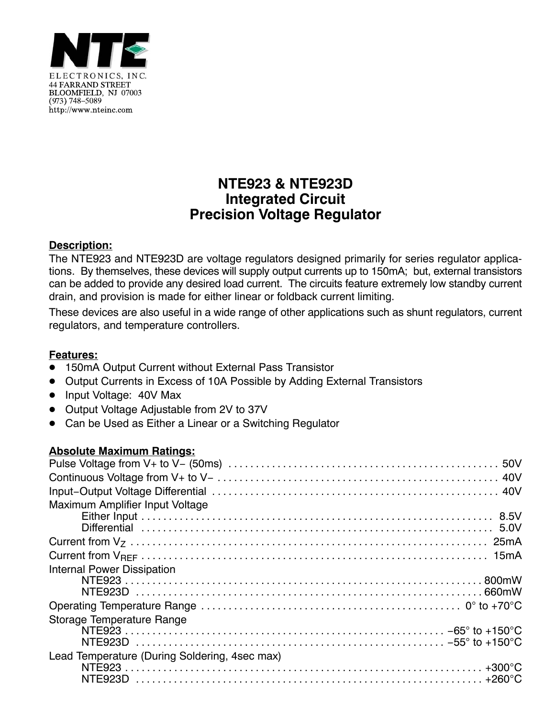

# **NTE923 & NTE923D Integrated Circuit Precision Voltage Regulator**

## **Description:**

The NTE923 and NTE923D are voltage regulators designed primarily for series regulator applications. By themselves, these devices will supply output currents up to 150mA; but, external transistors can be added to provide any desired load current. The circuits feature extremely low standby current drain, and provision is made for either linear or foldback current limiting.

These devices are also useful in a wide range of other applications such as shunt regulators, current regulators, and temperature controllers.

## **Features:**

- -<br>• 150mA Output Current without External Pass Transistor
- Output Currents in Excess of 10A Possible by Adding External Transistors
- Input Voltage: 40V Max
- Output Voltage Adjustable from 2V to 37V
- Can be Used as Either a Linear or a Switching Regulator

### **Absolute Maximum Ratings:**

| Maximum Amplifier Input Voltage               |
|-----------------------------------------------|
|                                               |
|                                               |
|                                               |
|                                               |
| <b>Internal Power Dissipation</b>             |
|                                               |
|                                               |
|                                               |
| Storage Temperature Range                     |
|                                               |
|                                               |
| Lead Temperature (During Soldering, 4sec max) |
|                                               |
|                                               |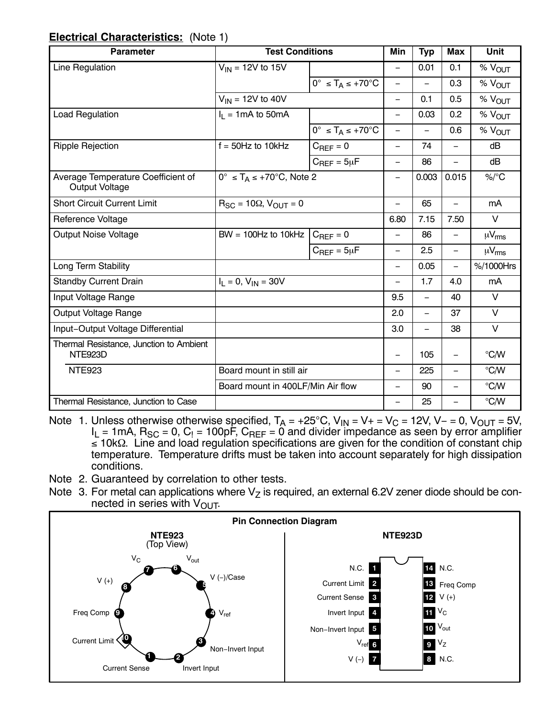### **Electrical Characteristics:** (Note 1)

| <b>Parameter</b>                                            | <b>Test Conditions</b>                          |                                            | Min                      | <b>Typ</b>               | <b>Max</b>               | <b>Unit</b>       |
|-------------------------------------------------------------|-------------------------------------------------|--------------------------------------------|--------------------------|--------------------------|--------------------------|-------------------|
| Line Regulation                                             | $V_{IN}$ = 12V to 15V                           |                                            | $\overline{\phantom{0}}$ | 0.01                     | 0.1                      | % VOUT            |
|                                                             |                                                 | $0^\circ \leq T_A \leq +70^\circ \text{C}$ | $\qquad \qquad -$        |                          | 0.3                      | $%$ $V_{OUT}$     |
|                                                             | $V_{IN}$ = 12V to 40V                           |                                            | $\overline{\phantom{0}}$ | 0.1                      | 0.5                      | %V <sub>QUT</sub> |
| Load Regulation                                             | $I_1 = 1 \text{mA}$ to 50 mA                    |                                            | $\overline{\phantom{0}}$ | 0.03                     | 0.2                      | % VOUT            |
|                                                             |                                                 | $0^\circ \leq T_A \leq +70^\circ C$        | $\qquad \qquad -$        | $\overline{\phantom{0}}$ | 0.6                      | %V <sub>OUT</sub> |
| <b>Ripple Rejection</b>                                     | $f = 50$ Hz to 10kHz                            | $C_{REF} = 0$                              | $\overline{\phantom{0}}$ | 74                       | $\equiv$                 | dB                |
|                                                             |                                                 | $C_{REF} = 5\mu F$                         | $\overline{\phantom{0}}$ | 86                       |                          | dB                |
| Average Temperature Coefficient of<br><b>Output Voltage</b> | $0^{\circ} \leq T_A \leq +70^{\circ}C$ , Note 2 |                                            |                          | 0.003                    | 0.015                    | %/°C              |
| <b>Short Circuit Current Limit</b>                          | $R_{SC}$ = 10 $\Omega$ , $V_{OUT}$ = 0          | $\overline{\phantom{0}}$                   | 65                       | $\overline{\phantom{0}}$ | mA                       |                   |
| Reference Voltage                                           |                                                 |                                            | 6.80                     | 7.15                     | 7.50                     | V                 |
| <b>Output Noise Voltage</b>                                 | $BW = 100Hz$ to $10kHz$                         | $C_{REF} = 0$                              | $\overline{\phantom{0}}$ | 86                       | $\overline{\phantom{0}}$ | $\mu V_{rms}$     |
|                                                             |                                                 | $C_{REF} = 5\mu F$                         | $\overline{\phantom{0}}$ | 2.5                      | $\overline{\phantom{0}}$ | $\mu V_{rms}$     |
| Long Term Stability                                         |                                                 |                                            | $\overline{\phantom{0}}$ | 0.05                     | $\overline{\phantom{0}}$ | %/1000Hrs         |
| <b>Standby Current Drain</b>                                | $I_1 = 0$ , $V_{IN} = 30V$                      |                                            | $\overline{\phantom{0}}$ | 1.7                      | 4.0                      | mA                |
| Input Voltage Range                                         |                                                 |                                            | 9.5                      | $\overline{\phantom{0}}$ | 40                       | V                 |
| Output Voltage Range                                        |                                                 |                                            | 2.0                      | $\overline{\phantom{0}}$ | 37                       | $\vee$            |
| Input-Output Voltage Differential                           |                                                 |                                            | 3.0                      | $\overline{\phantom{0}}$ | 38                       | $\vee$            |
| Thermal Resistance, Junction to Ambient<br>NTE923D          |                                                 |                                            | —                        | 105                      | —                        | °C/W              |
| <b>NTE923</b>                                               | Board mount in still air                        |                                            | $\overline{\phantom{0}}$ | 225                      | $\overline{\phantom{0}}$ | °C/W              |
|                                                             | Board mount in 400LF/Min Air flow               |                                            | $\qquad \qquad -$        | 90                       | $\overline{\phantom{0}}$ | °C/W              |
| Thermal Resistance, Junction to Case                        |                                                 |                                            | $\overline{\phantom{0}}$ | 25                       | ▃                        | °C/W              |

Note 1. Unless otherwise otherwise specified, T<sub>A</sub> = +25°C, V<sub>IN</sub> = V+ = V<sub>C</sub> = 12V, V− = 0, V<sub>OUT</sub> = 5V,  $I_L$  = 1mA,  $R_{SC}$  = 0,  $C_l$  = 100pF,  $C_{REF}$  = 0 and divider impedance as seen by error amplifier ≤ 10kΩ. Line and load regulation specifications are given for the condition of constant chip temperature. Temperature drifts must be taken into account separately for high dissipation conditions.

- Note 2. Guaranteed by correlation to other tests.
- Note 3. For metal can applications where  $V_Z$  is required, an external 6.2V zener diode should be connected in series with  $V_{\text{OUT}}$ .

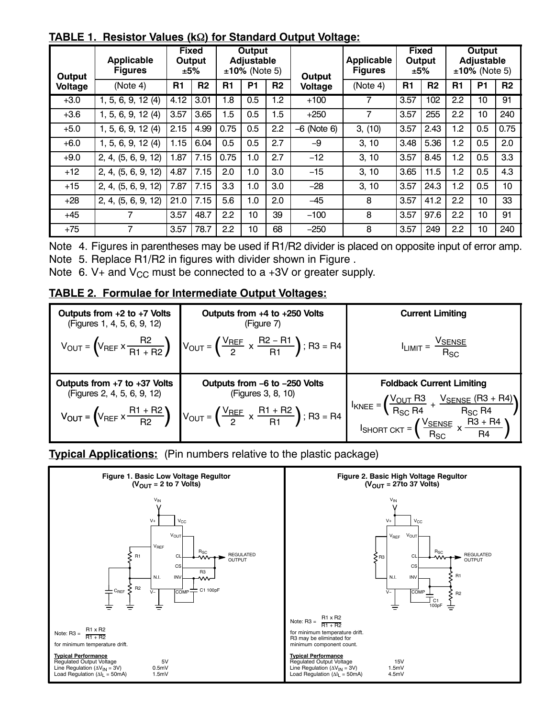| Output         | <b>Applicable</b><br><b>Figures</b> |      | <b>Fixed</b><br>Output<br>±5% |      | <b>Output</b><br><b>Adjustable</b><br>$±10%$ (Note 5) |                  | <b>Output</b> | <b>Applicable</b><br><b>Figures</b> |                | <b>Fixed</b><br>Output<br>±5% |                | <b>Output</b><br>Adjustable<br>$±10\%$ (Note 5) |                |
|----------------|-------------------------------------|------|-------------------------------|------|-------------------------------------------------------|------------------|---------------|-------------------------------------|----------------|-------------------------------|----------------|-------------------------------------------------|----------------|
| <b>Voltage</b> | (Note 4)                            | R1   | R <sub>2</sub>                | R1   | <b>P1</b>                                             | R <sub>2</sub>   | Voltage       | (Note 4)                            | R <sub>1</sub> | R <sub>2</sub>                | R <sub>1</sub> | <b>P1</b>                                       | R <sub>2</sub> |
| $+3.0$         | 1, 5, 6, 9, 12(4)                   | 4.12 | 3.01                          | 1.8  | 0.5                                                   | $1.\overline{2}$ | $+100$        | 7                                   | 3.57           | 102                           | 2.2            | 10                                              | 91             |
| $+3.6$         | 1, 5, 6, 9, 12(4)                   | 3.57 | 3.65                          | 1.5  | 0.5                                                   | 1.5              | $+250$        | 7                                   | 3.57           | 255                           | 2.2            | 10 <sup>10</sup>                                | 240            |
| $+5.0$         | 1, 5, 6, 9, 12 (4)                  | 2.15 | 4.99                          | 0.75 | 0.5                                                   | 2.2              | $-6$ (Note 6) | 3, (10)                             | 3.57           | 2.43                          | 1.2            | 0.5                                             | 0.75           |
| $+6.0$         | 1, 5, 6, 9, 12(4)                   | 1.15 | 6.04                          | 0.5  | 0.5                                                   | 2.7              | -9            | 3, 10                               | 3.48           | 5.36                          | 1.2            | 0.5                                             | 2.0            |
| $+9.0$         | 2, 4, (5, 6, 9, 12)                 | 1.87 | 7.15                          | 0.75 | 1.0                                                   | 2.7              | $-12$         | 3, 10                               | 3.57           | 8.45                          | 1.2            | 0.5                                             | 3.3            |
| $+12$          | 2, 4, (5, 6, 9, 12)                 | 4.87 | 7.15                          | 2.0  | 1.0                                                   | 3.0              | $-15$         | 3, 10                               | 3.65           | 11.5                          | 1.2            | 0.5                                             | 4.3            |
| $+15$          | 2, 4, (5, 6, 9, 12)                 | 7.87 | 7.15                          | 3.3  | 1.0                                                   | 3.0              | $-28$         | 3, 10                               | 3.57           | 24.3                          | 1.2            | 0.5                                             | 10             |
| $+28$          | 2, 4, (5, 6, 9, 12)                 | 21.0 | 7.15                          | 5.6  | 1.0                                                   | 2.0              | $-45$         | 8                                   | 3.57           | 41.2                          | 2.2            | 10                                              | 33             |
| $+45$          | 7                                   | 3.57 | 48.7                          | 2.2  | 10                                                    | 39               | $-100$        | 8                                   | 3.57           | 97.6                          | 2.2            | 10                                              | 91             |
| $+75$          | 7                                   | 3.57 | 78.7                          | 2.2  | 10                                                    | 68               | $-250$        | 8                                   | 3.57           | 249                           | 2.2            | 10                                              | 240            |

**TABLE 1. Resistor Values (k) for Standard Output Voltage:**

Note 4. Figures in parentheses may be used if R1/R2 divider is placed on opposite input of error amp. Note 5. Replace R1/R2 in figures with divider shown in Figure .

Note 6. V+ and  $V_{CC}$  must be connected to a +3V or greater supply.

### **TABLE 2. Formulae for Intermediate Output Voltages:**

| Outputs from $+2$ to $+7$ Volts<br>(Figures 1, 4, 5, 6, 9, 12)  | Outputs from $+4$ to $+250$ Volts<br>(Figure 7)                                                                                                                            | <b>Current Limiting</b>                                                                                                 |
|-----------------------------------------------------------------|----------------------------------------------------------------------------------------------------------------------------------------------------------------------------|-------------------------------------------------------------------------------------------------------------------------|
|                                                                 | $V_{\text{OUT}} = \left(V_{\text{REF}} \times \frac{R2}{R1 + R2}\right)$ $V_{\text{OUT}} = \left(\frac{V_{\text{REF}}}{2} \times \frac{R2 - R1}{R1}\right)$ ; R3 = R4      | $I_{LIMIT} = \frac{V_{SENSE}}{R_{SC}}$                                                                                  |
|                                                                 |                                                                                                                                                                            |                                                                                                                         |
| Outputs from $+7$ to $+37$ Volts<br>(Figures 2, 4, 5, 6, 9, 12) | Outputs from -6 to -250 Volts<br>(Figures 3, 8, 10)<br>$V_{OUT} = (V_{REF} \times \frac{R1 + R2}{R2})$ $V_{OUT} = (\frac{V_{REF}}{2} \times \frac{R1 + R2}{R1})$ ; R3 = R4 | <b>Foldback Current Limiting</b><br>$\left(\frac{V_{OUT} R3}{R_{SC} R4} + \frac{V_{SENSE} (R3 + R4)}{R_{SC} R4}\right)$ |

**Typical Applications:** (Pin numbers relative to the plastic package)

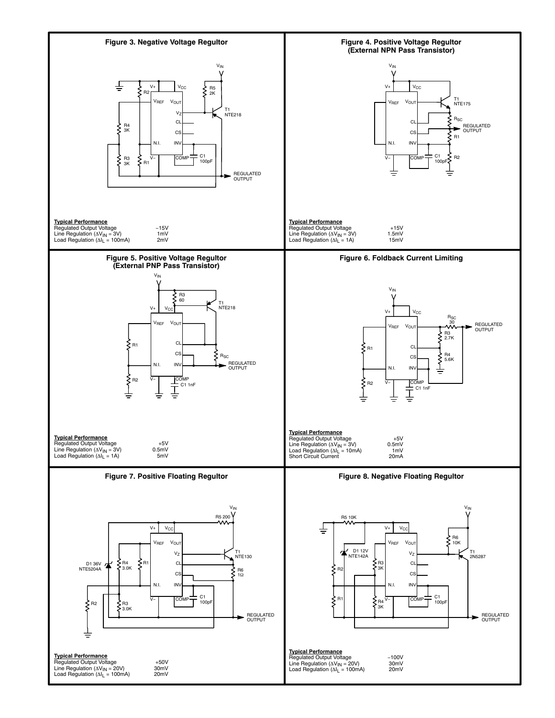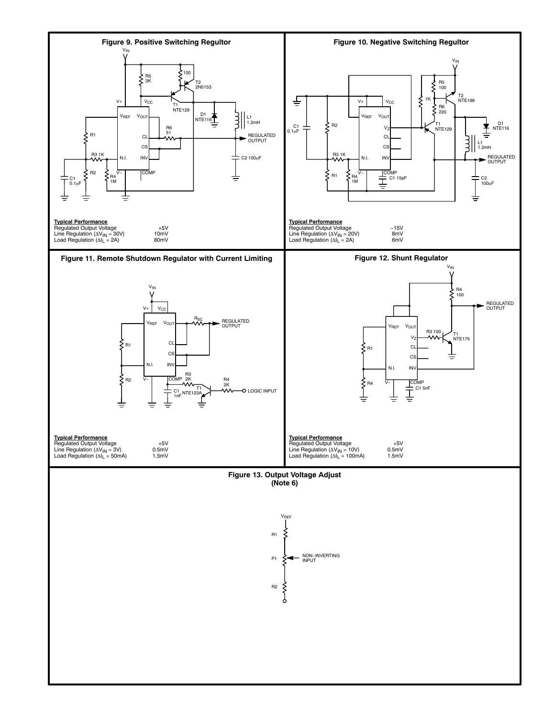